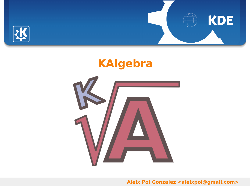



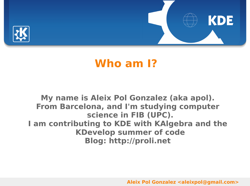



# **Who am I?**

#### **My name is Aleix Pol Gonzalez (aka apol). From Barcelona, and I'm studying computer science in FIB (UPC). I am contributing to KDE with KAlgebra and the KDevelop summer of code Blog: http://proli.net**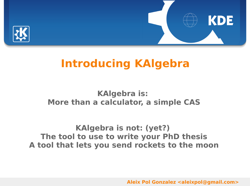



#### **KAlgebra is: More than a calculator, a simple CAS**

**KAlgebra is not: (yet?) The tool to use to write your PhD thesis A tool that lets you send rockets to the moon**

**Aleix Pol Gonzalez <aleixpol@gmail.com>**

**KDE**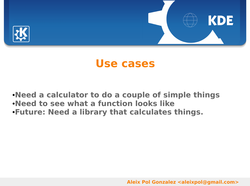



### **Use cases**

●**Need a calculator to do a couple of simple things** ●**Need to see what a function looks like** ●**Future: Need a library that calculates things.**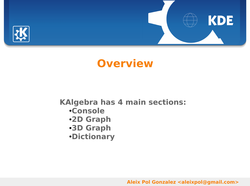

# **Overview**

#### **KAlgebra has 4 main sections:**

- ●**Console**
- ●**2D Graph**
- ●**3D Graph**
- ●**Dictionary**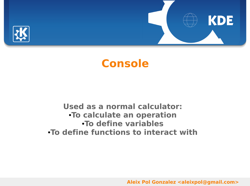



# **Console**

#### **Used as a normal calculator:** ●**To calculate an operation** ●**To define variables** ●**To define functions to interact with**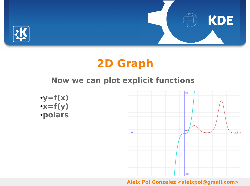



# **2D Graph**

### **Now we can plot explicit functions**



 $\cdot$ y=f(x) ●**x=f(y)** ●**polars**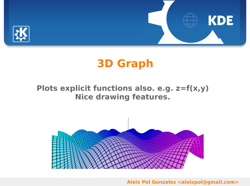



# **3D Graph**

#### **Plots explicit functions also. e.g. z=f(x,y) Nice drawing features.**

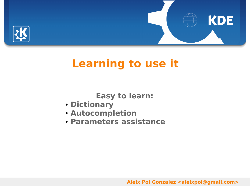



**Easy to learn:**

- **Dictionary**
- **Autocompletion**
- **Parameters assistance**

**Aleix Pol Gonzalez <aleixpol@gmail.com>**

KDE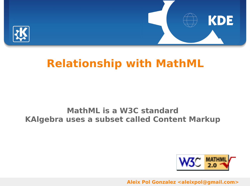



#### **MathML is a W3C standard KAlgebra uses a subset called Content Markup**



**KDE**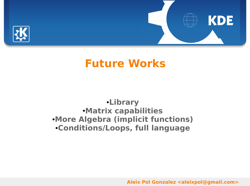

# **Future Works**

#### ●**Library** ●**Matrix capabilities** ●**More Algebra (implicit functions)** ●**Conditions/Loops, full language**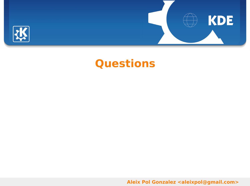

# **Questions**